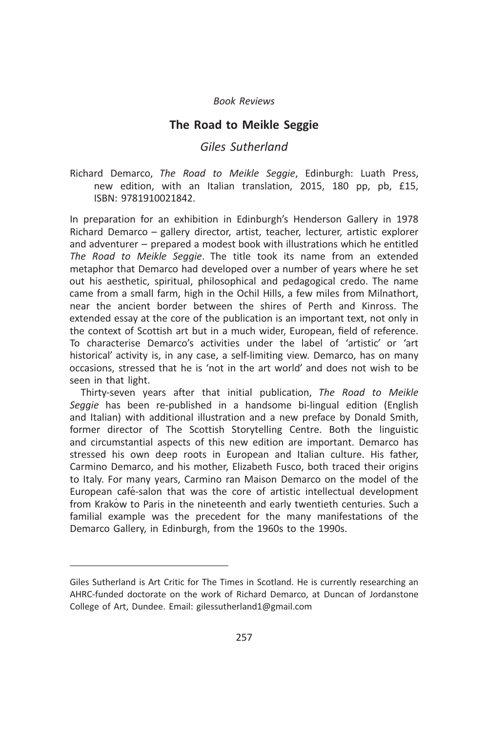## The Road to Meikle Seggie

# Giles Sutherland

Richard Demarco, The Road to Meikle Seggie, Edinburgh: Luath Press, new edition, with an Italian translation, 2015, 180 pp, pb, £15, ISBN: 9781910021842.

In preparation for an exhibition in Edinburgh's Henderson Gallery in 1978 Richard Demarco – gallery director, artist, teacher, lecturer, artistic explorer and adventurer – prepared a modest book with illustrations which he entitled The Road to Meikle Seggie. The title took its name from an extended metaphor that Demarco had developed over a number of years where he set out his aesthetic, spiritual, philosophical and pedagogical credo. The name came from a small farm, high in the Ochil Hills, a few miles from Milnathort, near the ancient border between the shires of Perth and Kinross. The extended essay at the core of the publication is an important text, not only in the context of Scottish art but in a much wider, European, field of reference. To characterise Demarco's activities under the label of 'artistic' or 'art historical' activity is, in any case, a self-limiting view. Demarco, has on many occasions, stressed that he is 'not in the art world' and does not wish to be seen in that light.

Thirty-seven years after that initial publication, The Road to Meikle Seggie has been re-published in a handsome bi-lingual edition (English and Italian) with additional illustration and a new preface by Donald Smith, former director of The Scottish Storytelling Centre. Both the linguistic and circumstantial aspects of this new edition are important. Demarco has stressed his own deep roots in European and Italian culture. His father, Carmino Demarco, and his mother, Elizabeth Fusco, both traced their origins to Italy. For many years, Carmino ran Maison Demarco on the model of the European café-salon that was the core of artistic intellectual development from Krakow to Paris in the nineteenth and early twentieth centuries. Such a familial example was the precedent for the many manifestations of the Demarco Gallery, in Edinburgh, from the 1960s to the 1990s.

Giles Sutherland is Art Critic for The Times in Scotland. He is currently researching an AHRC-funded doctorate on the work of Richard Demarco, at Duncan of Jordanstone College of Art, Dundee. Email: gilessutherland1@gmail.com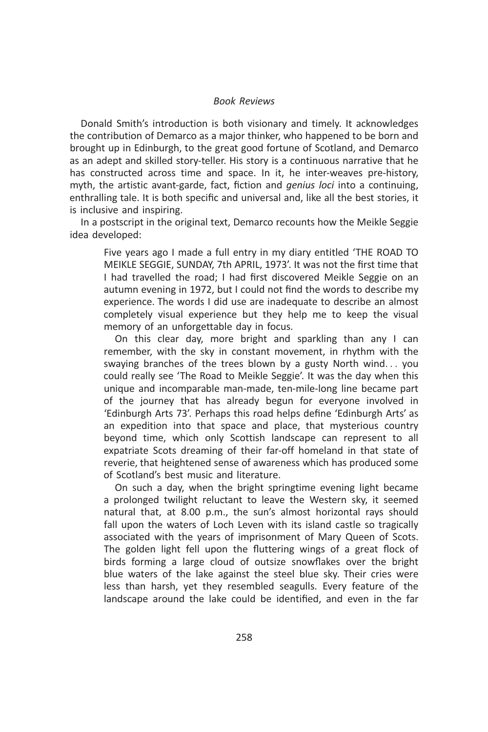Donald Smith's introduction is both visionary and timely. It acknowledges the contribution of Demarco as a major thinker, who happened to be born and brought up in Edinburgh, to the great good fortune of Scotland, and Demarco as an adept and skilled story-teller. His story is a continuous narrative that he has constructed across time and space. In it, he inter-weaves pre-history, myth, the artistic avant-garde, fact, fiction and *genius loci* into a continuing, enthralling tale. It is both specific and universal and, like all the best stories, it is inclusive and inspiring.

In a postscript in the original text, Demarco recounts how the Meikle Seggie idea developed:

Five years ago I made a full entry in my diary entitled 'THE ROAD TO MEIKLE SEGGIE, SUNDAY, 7th APRIL, 1973'. It was not the first time that I had travelled the road; I had first discovered Meikle Seggie on an autumn evening in 1972, but I could not find the words to describe my experience. The words I did use are inadequate to describe an almost completely visual experience but they help me to keep the visual memory of an unforgettable day in focus.

On this clear day, more bright and sparkling than any I can remember, with the sky in constant movement, in rhythm with the swaying branches of the trees blown by a gusty North wind... you could really see 'The Road to Meikle Seggie'. It was the day when this unique and incomparable man-made, ten-mile-long line became part of the journey that has already begun for everyone involved in 'Edinburgh Arts 73'. Perhaps this road helps define 'Edinburgh Arts' as an expedition into that space and place, that mysterious country beyond time, which only Scottish landscape can represent to all expatriate Scots dreaming of their far-off homeland in that state of reverie, that heightened sense of awareness which has produced some of Scotland's best music and literature.

On such a day, when the bright springtime evening light became a prolonged twilight reluctant to leave the Western sky, it seemed natural that, at 8.00 p.m., the sun's almost horizontal rays should fall upon the waters of Loch Leven with its island castle so tragically associated with the years of imprisonment of Mary Queen of Scots. The golden light fell upon the fluttering wings of a great flock of birds forming a large cloud of outsize snowflakes over the bright blue waters of the lake against the steel blue sky. Their cries were less than harsh, yet they resembled seagulls. Every feature of the landscape around the lake could be identified, and even in the far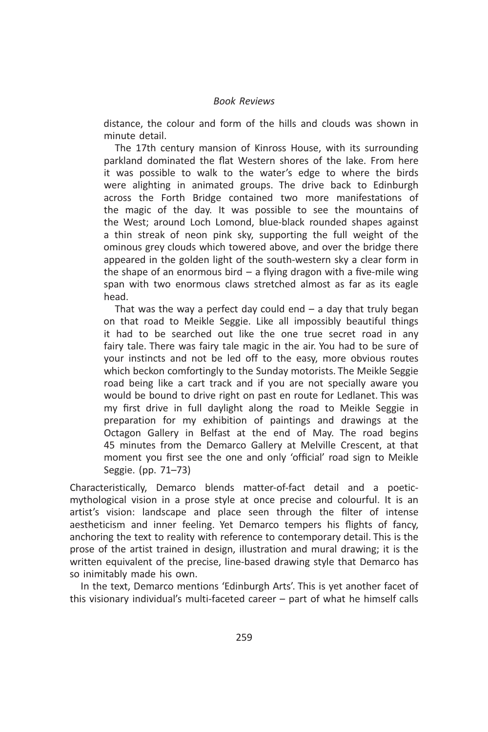distance, the colour and form of the hills and clouds was shown in minute detail.

The 17th century mansion of Kinross House, with its surrounding parkland dominated the flat Western shores of the lake. From here it was possible to walk to the water's edge to where the birds were alighting in animated groups. The drive back to Edinburgh across the Forth Bridge contained two more manifestations of the magic of the day. It was possible to see the mountains of the West; around Loch Lomond, blue-black rounded shapes against a thin streak of neon pink sky, supporting the full weight of the ominous grey clouds which towered above, and over the bridge there appeared in the golden light of the south-western sky a clear form in the shape of an enormous bird  $-$  a flying dragon with a five-mile wing span with two enormous claws stretched almost as far as its eagle head.

That was the way a perfect day could end  $-$  a day that truly began on that road to Meikle Seggie. Like all impossibly beautiful things it had to be searched out like the one true secret road in any fairy tale. There was fairy tale magic in the air. You had to be sure of your instincts and not be led off to the easy, more obvious routes which beckon comfortingly to the Sunday motorists. The Meikle Seggie road being like a cart track and if you are not specially aware you would be bound to drive right on past en route for Ledlanet. This was my first drive in full daylight along the road to Meikle Seggie in preparation for my exhibition of paintings and drawings at the Octagon Gallery in Belfast at the end of May. The road begins 45 minutes from the Demarco Gallery at Melville Crescent, at that moment you first see the one and only 'official' road sign to Meikle Seggie. (pp. 71–73)

Characteristically, Demarco blends matter-of-fact detail and a poeticmythological vision in a prose style at once precise and colourful. It is an artist's vision: landscape and place seen through the filter of intense aestheticism and inner feeling. Yet Demarco tempers his flights of fancy, anchoring the text to reality with reference to contemporary detail. This is the prose of the artist trained in design, illustration and mural drawing; it is the written equivalent of the precise, line-based drawing style that Demarco has so inimitably made his own.

In the text, Demarco mentions 'Edinburgh Arts'. This is yet another facet of this visionary individual's multi-faceted career – part of what he himself calls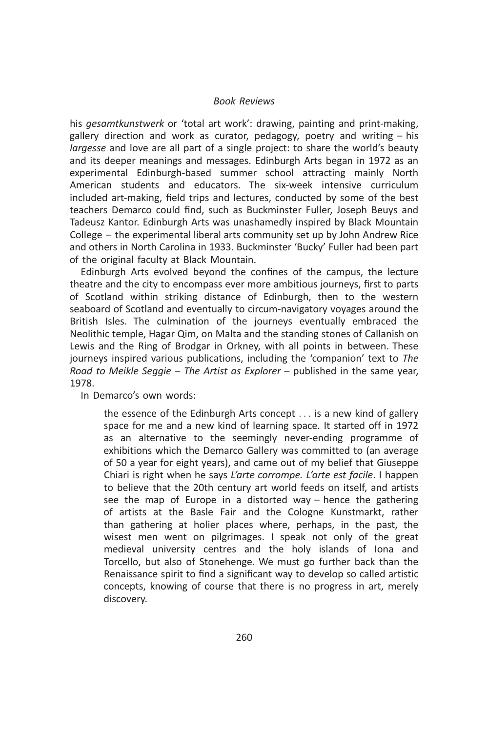his gesamtkunstwerk or 'total art work': drawing, painting and print-making, gallery direction and work as curator, pedagogy, poetry and writing – his largesse and love are all part of a single project: to share the world's beauty and its deeper meanings and messages. Edinburgh Arts began in 1972 as an experimental Edinburgh-based summer school attracting mainly North American students and educators. The six-week intensive curriculum included art-making, field trips and lectures, conducted by some of the best teachers Demarco could find, such as Buckminster Fuller, Joseph Beuys and Tadeusz Kantor. Edinburgh Arts was unashamedly inspired by Black Mountain College – the experimental liberal arts community set up by John Andrew Rice and others in North Carolina in 1933. Buckminster 'Bucky' Fuller had been part of the original faculty at Black Mountain.

Edinburgh Arts evolved beyond the confines of the campus, the lecture theatre and the city to encompass ever more ambitious journeys, first to parts of Scotland within striking distance of Edinburgh, then to the western seaboard of Scotland and eventually to circum-navigatory voyages around the British Isles. The culmination of the journeys eventually embraced the Neolithic temple, Hagar Qim, on Malta and the standing stones of Callanish on Lewis and the Ring of Brodgar in Orkney, with all points in between. These journeys inspired various publications, including the 'companion' text to The Road to Meikle Seggie – The Artist as Explorer – published in the same year, 1978.

In Demarco's own words:

the essence of the Edinburgh Arts concept ... is a new kind of gallery space for me and a new kind of learning space. It started off in 1972 as an alternative to the seemingly never-ending programme of exhibitions which the Demarco Gallery was committed to (an average of 50 a year for eight years), and came out of my belief that Giuseppe Chiari is right when he says L'arte corrompe. L'arte est facile. I happen to believe that the 20th century art world feeds on itself, and artists see the map of Europe in a distorted way – hence the gathering of artists at the Basle Fair and the Cologne Kunstmarkt, rather than gathering at holier places where, perhaps, in the past, the wisest men went on pilgrimages. I speak not only of the great medieval university centres and the holy islands of Iona and Torcello, but also of Stonehenge. We must go further back than the Renaissance spirit to find a significant way to develop so called artistic concepts, knowing of course that there is no progress in art, merely discovery.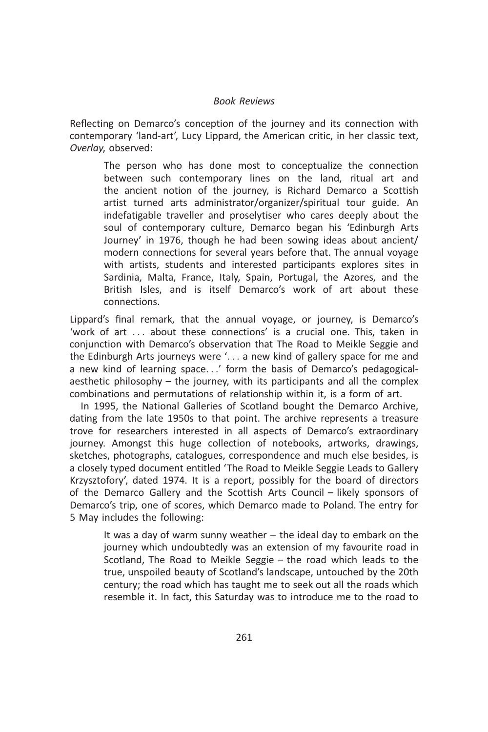Reflecting on Demarco's conception of the journey and its connection with contemporary 'land-art', Lucy Lippard, the American critic, in her classic text, Overlay, observed:

The person who has done most to conceptualize the connection between such contemporary lines on the land, ritual art and the ancient notion of the journey, is Richard Demarco a Scottish artist turned arts administrator/organizer/spiritual tour guide. An indefatigable traveller and proselytiser who cares deeply about the soul of contemporary culture, Demarco began his 'Edinburgh Arts Journey' in 1976, though he had been sowing ideas about ancient/ modern connections for several years before that. The annual voyage with artists, students and interested participants explores sites in Sardinia, Malta, France, Italy, Spain, Portugal, the Azores, and the British Isles, and is itself Demarco's work of art about these connections.

Lippard's final remark, that the annual voyage, or journey, is Demarco's 'work of art ... about these connections' is a crucial one. This, taken in conjunction with Demarco's observation that The Road to Meikle Seggie and the Edinburgh Arts journeys were '... a new kind of gallery space for me and a new kind of learning space...' form the basis of Demarco's pedagogicalaesthetic philosophy – the journey, with its participants and all the complex combinations and permutations of relationship within it, is a form of art.

In 1995, the National Galleries of Scotland bought the Demarco Archive, dating from the late 1950s to that point. The archive represents a treasure trove for researchers interested in all aspects of Demarco's extraordinary journey. Amongst this huge collection of notebooks, artworks, drawings, sketches, photographs, catalogues, correspondence and much else besides, is a closely typed document entitled 'The Road to Meikle Seggie Leads to Gallery Krzysztofory', dated 1974. It is a report, possibly for the board of directors of the Demarco Gallery and the Scottish Arts Council – likely sponsors of Demarco's trip, one of scores, which Demarco made to Poland. The entry for 5 May includes the following:

It was a day of warm sunny weather – the ideal day to embark on the journey which undoubtedly was an extension of my favourite road in Scotland, The Road to Meikle Seggie – the road which leads to the true, unspoiled beauty of Scotland's landscape, untouched by the 20th century; the road which has taught me to seek out all the roads which resemble it. In fact, this Saturday was to introduce me to the road to